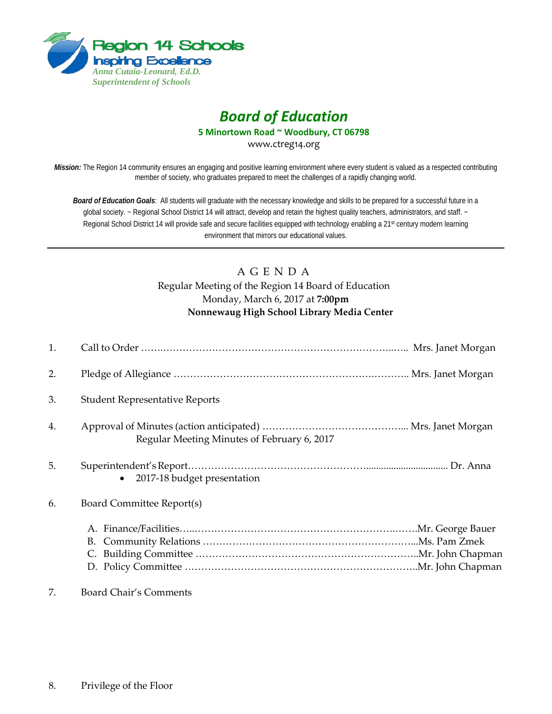

# *Board of Education*

**5 Minortown Road ~ Woodbury, CT 06798**

www.ctreg14.org

*Mission:* The Region 14 community ensures an engaging and positive learning environment where every student is valued as a respected contributing member of society, who graduates prepared to meet the challenges of a rapidly changing world.

*Board of Education Goals:* All students will graduate with the necessary knowledge and skills to be prepared for a successful future in a global society. ~ Regional School District 14 will attract, develop and retain the highest quality teachers, administrators, and staff. ~ Regional School District 14 will provide safe and secure facilities equipped with technology enabling a 21<sup>st</sup> century modern learning environment that mirrors our educational values.

# A G E N D A Regular Meeting of the Region 14 Board of Education Monday, March 6, 2017 at **7:00pm Nonnewaug High School Library Media Center**

| 1. |                                             |  |
|----|---------------------------------------------|--|
| 2. |                                             |  |
| 3. | <b>Student Representative Reports</b>       |  |
| 4. | Regular Meeting Minutes of February 6, 2017 |  |
| 5. | • 2017-18 budget presentation               |  |
| 6. | Board Committee Report(s)                   |  |
|    |                                             |  |
| 7. | <b>Board Chair's Comments</b>               |  |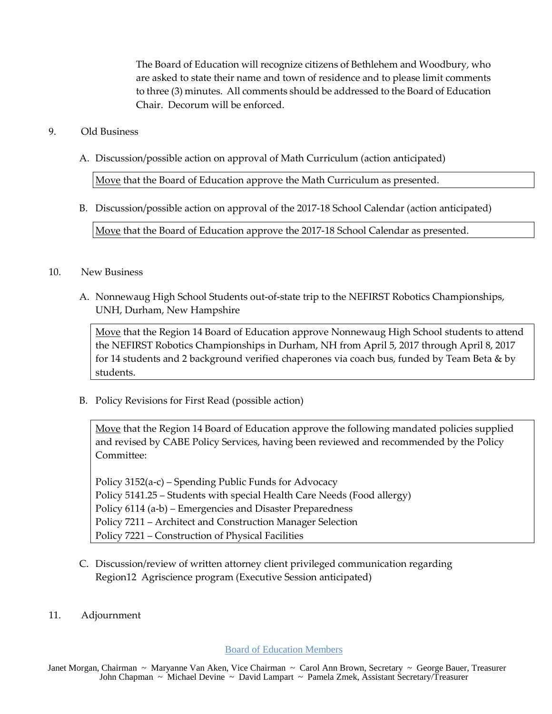The Board of Education will recognize citizens of Bethlehem and Woodbury, who are asked to state their name and town of residence and to please limit comments to three (3) minutes. All comments should be addressed to the Board of Education Chair. Decorum will be enforced.

# 9. Old Business

A. Discussion/possible action on approval of Math Curriculum (action anticipated)

Move that the Board of Education approve the Math Curriculum as presented.

B. Discussion/possible action on approval of the 2017-18 School Calendar (action anticipated)

Move that the Board of Education approve the 2017-18 School Calendar as presented.

#### 10. New Business

A. Nonnewaug High School Students out-of-state trip to the NEFIRST Robotics Championships, UNH, Durham, New Hampshire

Move that the Region 14 Board of Education approve Nonnewaug High School students to attend the NEFIRST Robotics Championships in Durham, NH from April 5, 2017 through April 8, 2017 for 14 students and 2 background verified chaperones via coach bus, funded by Team Beta & by students.

B. Policy Revisions for First Read (possible action)

Move that the Region 14 Board of Education approve the following mandated policies supplied and revised by CABE Policy Services, having been reviewed and recommended by the Policy Committee:

Policy 3152(a-c) – Spending Public Funds for Advocacy Policy 5141.25 – Students with special Health Care Needs (Food allergy) Policy 6114 (a-b) – Emergencies and Disaster Preparedness Policy 7211 – Architect and Construction Manager Selection Policy 7221 – Construction of Physical Facilities

- C. Discussion/review of written attorney client privileged communication regarding Region12 Agriscience program (Executive Session anticipated)
- 11. Adjournment

Board of Education Members